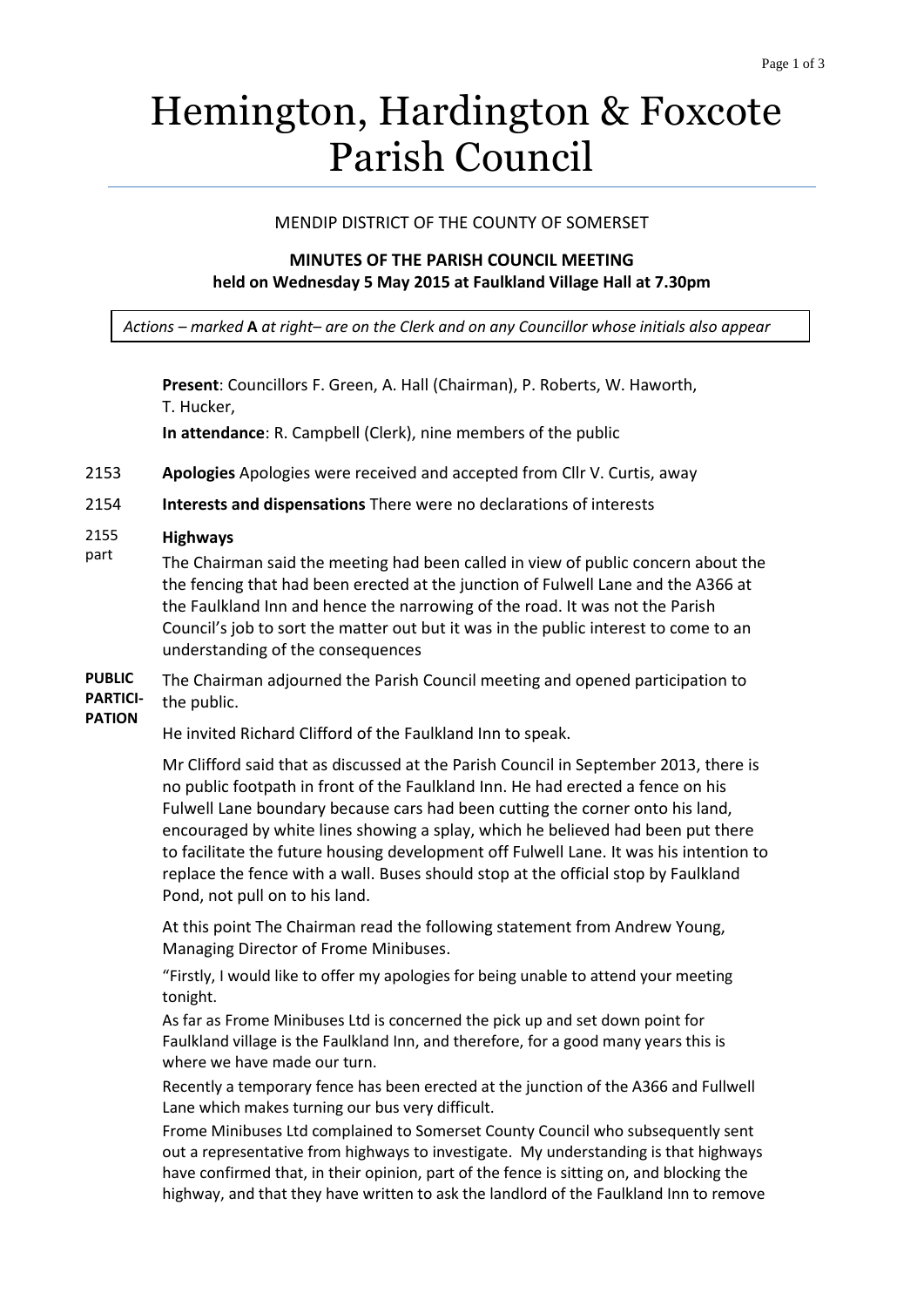# Hemington, Hardington & Foxcote Parish Council

### MENDIP DISTRICT OF THE COUNTY OF SOMERSET

## **MINUTES OF THE PARISH COUNCIL MEETING held on Wednesday 5 May 2015 at Faulkland Village Hall at 7.30pm**

*Actions – marked* **A** *at right– are on the Clerk and on any Councillor whose initials also appear*

**Present**: Councillors F. Green, A. Hall (Chairman), P. Roberts, W. Haworth, T. Hucker,

**In attendance**: R. Campbell (Clerk), nine members of the public

- 2153 **Apologies** Apologies were received and accepted from Cllr V. Curtis, away
- 2154 **Interests and dispensations** There were no declarations of interests
- 2155 **Highways**
- part The Chairman said the meeting had been called in view of public concern about the the fencing that had been erected at the junction of Fulwell Lane and the A366 at the Faulkland Inn and hence the narrowing of the road. It was not the Parish Council's job to sort the matter out but it was in the public interest to come to an understanding of the consequences

**PUBLIC PARTICI-PATION** The Chairman adjourned the Parish Council meeting and opened participation to the public.

He invited Richard Clifford of the Faulkland Inn to speak.

Mr Clifford said that as discussed at the Parish Council in September 2013, there is no public footpath in front of the Faulkland Inn. He had erected a fence on his Fulwell Lane boundary because cars had been cutting the corner onto his land, encouraged by white lines showing a splay, which he believed had been put there to facilitate the future housing development off Fulwell Lane. It was his intention to replace the fence with a wall. Buses should stop at the official stop by Faulkland Pond, not pull on to his land.

At this point The Chairman read the following statement from Andrew Young, Managing Director of Frome Minibuses.

"Firstly, I would like to offer my apologies for being unable to attend your meeting tonight.

As far as Frome Minibuses Ltd is concerned the pick up and set down point for Faulkland village is the Faulkland Inn, and therefore, for a good many years this is where we have made our turn.

Recently a temporary fence has been erected at the junction of the A366 and Fullwell Lane which makes turning our bus very difficult.

Frome Minibuses Ltd complained to Somerset County Council who subsequently sent out a representative from highways to investigate. My understanding is that highways have confirmed that, in their opinion, part of the fence is sitting on, and blocking the highway, and that they have written to ask the landlord of the Faulkland Inn to remove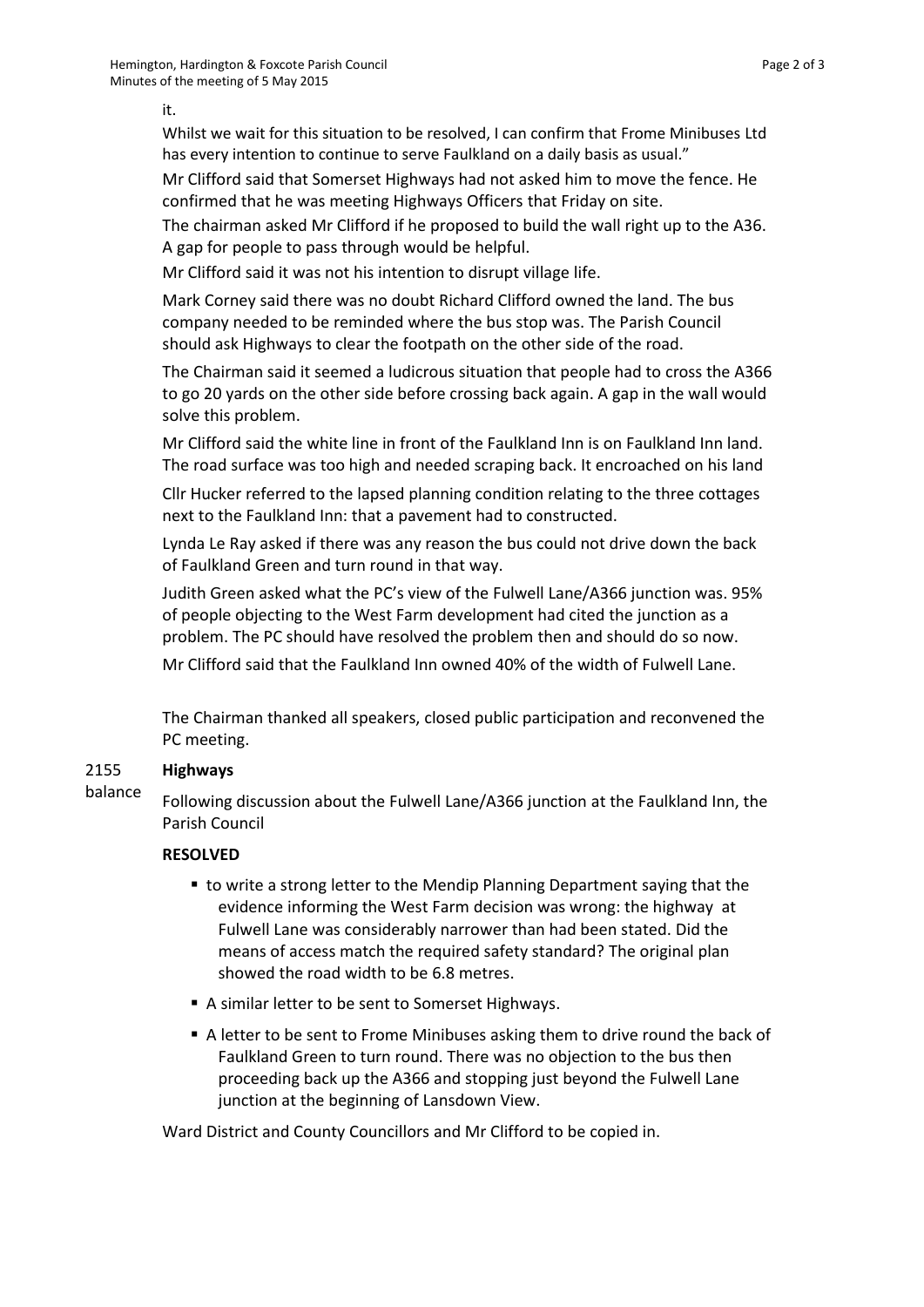Whilst we wait for this situation to be resolved, I can confirm that Frome Minibuses Ltd has every intention to continue to serve Faulkland on a daily basis as usual."

Mr Clifford said that Somerset Highways had not asked him to move the fence. He confirmed that he was meeting Highways Officers that Friday on site.

The chairman asked Mr Clifford if he proposed to build the wall right up to the A36. A gap for people to pass through would be helpful.

Mr Clifford said it was not his intention to disrupt village life.

Mark Corney said there was no doubt Richard Clifford owned the land. The bus company needed to be reminded where the bus stop was. The Parish Council should ask Highways to clear the footpath on the other side of the road.

The Chairman said it seemed a ludicrous situation that people had to cross the A366 to go 20 yards on the other side before crossing back again. A gap in the wall would solve this problem.

Mr Clifford said the white line in front of the Faulkland Inn is on Faulkland Inn land. The road surface was too high and needed scraping back. It encroached on his land

Cllr Hucker referred to the lapsed planning condition relating to the three cottages next to the Faulkland Inn: that a pavement had to constructed.

Lynda Le Ray asked if there was any reason the bus could not drive down the back of Faulkland Green and turn round in that way.

Judith Green asked what the PC's view of the Fulwell Lane/A366 junction was. 95% of people objecting to the West Farm development had cited the junction as a problem. The PC should have resolved the problem then and should do so now.

Mr Clifford said that the Faulkland Inn owned 40% of the width of Fulwell Lane.

The Chairman thanked all speakers, closed public participation and reconvened the PC meeting.

#### 2155 **Highways**

balance Following discussion about the Fulwell Lane/A366 junction at the Faulkland Inn, the Parish Council

## **RESOLVED**

- to write a strong letter to the Mendip Planning Department saying that the evidence informing the West Farm decision was wrong: the highway at Fulwell Lane was considerably narrower than had been stated. Did the means of access match the required safety standard? The original plan showed the road width to be 6.8 metres.
- A similar letter to be sent to Somerset Highways.
- A letter to be sent to Frome Minibuses asking them to drive round the back of Faulkland Green to turn round. There was no objection to the bus then proceeding back up the A366 and stopping just beyond the Fulwell Lane junction at the beginning of Lansdown View.

Ward District and County Councillors and Mr Clifford to be copied in.